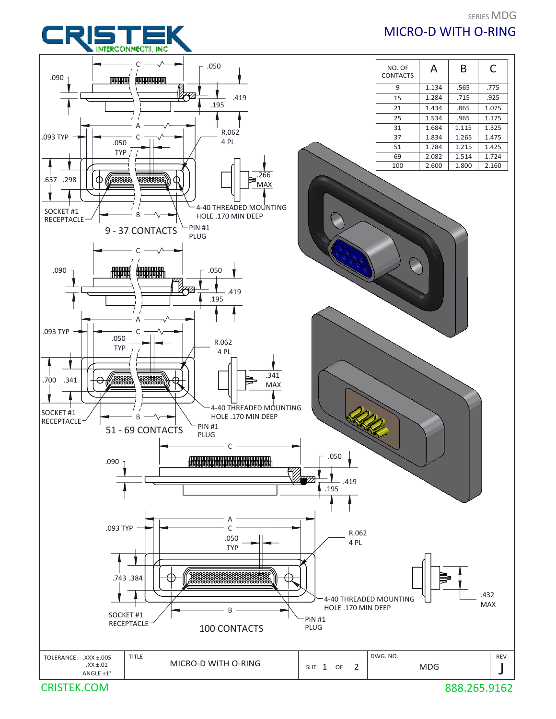





CRISTEK.COM

888.265.9162